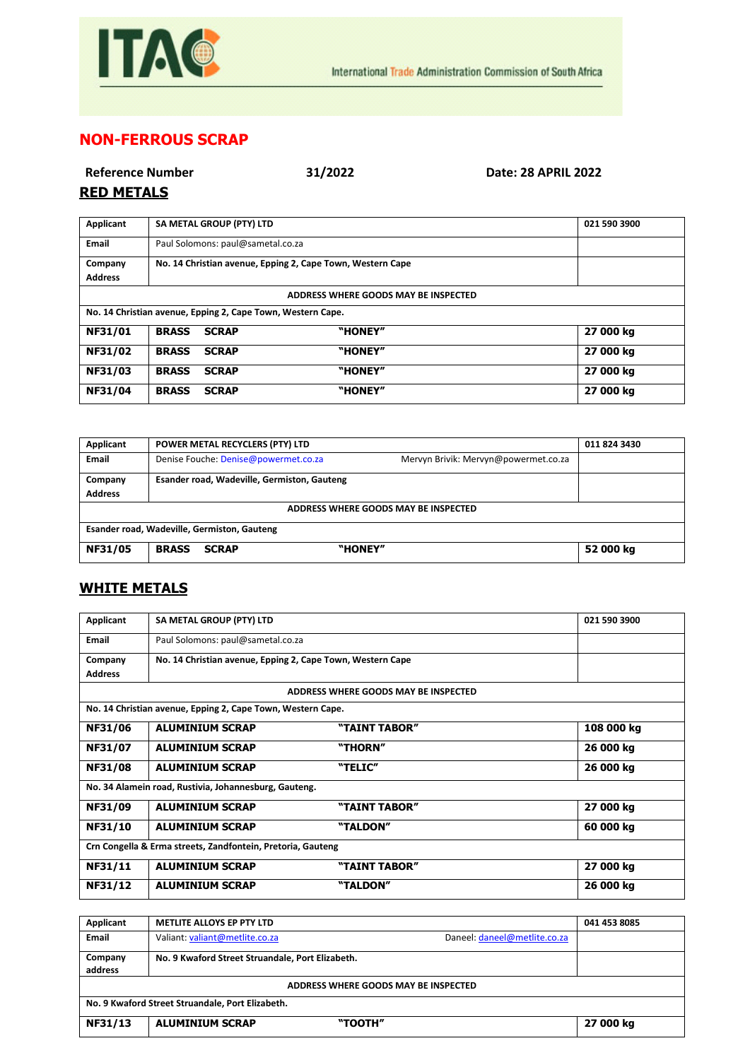

## **NON-FERROUS SCRAP**

| <b>Reference Number</b> |  |
|-------------------------|--|
| DEN METALE              |  |

**Reference Number 31/2022 Date: 28 APRIL 2022**

## **RED METALS**

| Applicant                                                   | SA METAL GROUP (PTY) LTD                                   |              | 021 590 3900 |           |
|-------------------------------------------------------------|------------------------------------------------------------|--------------|--------------|-----------|
| Email                                                       | Paul Solomons: paul@sametal.co.za                          |              |              |           |
| Company                                                     | No. 14 Christian avenue, Epping 2, Cape Town, Western Cape |              |              |           |
| <b>Address</b>                                              |                                                            |              |              |           |
| ADDRESS WHERE GOODS MAY BE INSPECTED                        |                                                            |              |              |           |
| No. 14 Christian avenue, Epping 2, Cape Town, Western Cape. |                                                            |              |              |           |
| NF31/01                                                     | <b>BRASS</b>                                               | <b>SCRAP</b> | "HONEY"      | 27 000 kg |
| NF31/02                                                     | <b>BRASS</b>                                               | <b>SCRAP</b> | "HONEY"      | 27 000 kg |
| NF31/03                                                     | <b>BRASS</b>                                               | <b>SCRAP</b> | "HONEY"      | 27 000 kg |
| NF31/04                                                     | <b>BRASS</b>                                               | <b>SCRAP</b> | "HONEY"      | 27 000 kg |

| Applicant                                   | POWER METAL RECYCLERS (PTY) LTD                                              | 011 824 3430 |  |  |
|---------------------------------------------|------------------------------------------------------------------------------|--------------|--|--|
| Email                                       | Denise Fouche: Denise@powermet.co.za<br>Mervyn Brivik: Mervyn@powermet.co.za |              |  |  |
| Company                                     | Esander road, Wadeville, Germiston, Gauteng                                  |              |  |  |
| <b>Address</b>                              |                                                                              |              |  |  |
| ADDRESS WHERE GOODS MAY BE INSPECTED        |                                                                              |              |  |  |
| Esander road, Wadeville, Germiston, Gauteng |                                                                              |              |  |  |
| NF31/05                                     | "HONEY"<br><b>BRASS</b><br><b>SCRAP</b>                                      | 52 000 kg    |  |  |

## **WHITE METALS**

| Applicant                                                   | SA METAL GROUP (PTY) LTD                                    |                                      | 021 590 3900 |
|-------------------------------------------------------------|-------------------------------------------------------------|--------------------------------------|--------------|
| <b>Email</b>                                                | Paul Solomons: paul@sametal.co.za                           |                                      |              |
| Company                                                     | No. 14 Christian avenue, Epping 2, Cape Town, Western Cape  |                                      |              |
| <b>Address</b>                                              |                                                             |                                      |              |
|                                                             |                                                             | ADDRESS WHERE GOODS MAY BE INSPECTED |              |
|                                                             | No. 14 Christian avenue, Epping 2, Cape Town, Western Cape. |                                      |              |
| <b>NF31/06</b>                                              | <b>ALUMINIUM SCRAP</b>                                      | "TAINT TABOR"                        | 108 000 kg   |
| NF31/07                                                     | <b>ALUMINIUM SCRAP</b>                                      | "THORN"                              | 26 000 kg    |
| <b>NF31/08</b>                                              | <b>ALUMINIUM SCRAP</b>                                      | "TELIC"                              | 26 000 kg    |
| No. 34 Alamein road, Rustivia, Johannesburg, Gauteng.       |                                                             |                                      |              |
| NF31/09                                                     | <b>ALUMINIUM SCRAP</b>                                      | "TAINT TABOR"                        | 27 000 kg    |
| NF31/10                                                     | <b>ALUMINIUM SCRAP</b>                                      | "TALDON"                             | 60 000 kg    |
| Crn Congella & Erma streets, Zandfontein, Pretoria, Gauteng |                                                             |                                      |              |
| NF31/11                                                     | <b>ALUMINIUM SCRAP</b>                                      | "TAINT TABOR"                        | 27 000 kg    |
| NF31/12                                                     | <b>ALUMINIUM SCRAP</b>                                      | "TALDON"                             | 26 000 kg    |

| Applicant                                        | <b>METLITE ALLOYS EP PTY LTD</b>                 |                              | 041 453 8085 |
|--------------------------------------------------|--------------------------------------------------|------------------------------|--------------|
| Email                                            | Valiant: valiant@metlite.co.za                   | Daneel: daneel@metlite.co.za |              |
| Company<br>address                               | No. 9 Kwaford Street Struandale, Port Elizabeth. |                              |              |
| ADDRESS WHERE GOODS MAY BE INSPECTED             |                                                  |                              |              |
| No. 9 Kwaford Street Struandale, Port Elizabeth. |                                                  |                              |              |
| NF31/13                                          | <b>ALUMINIUM SCRAP</b>                           | "TOOTH"                      | 27 000 kg    |